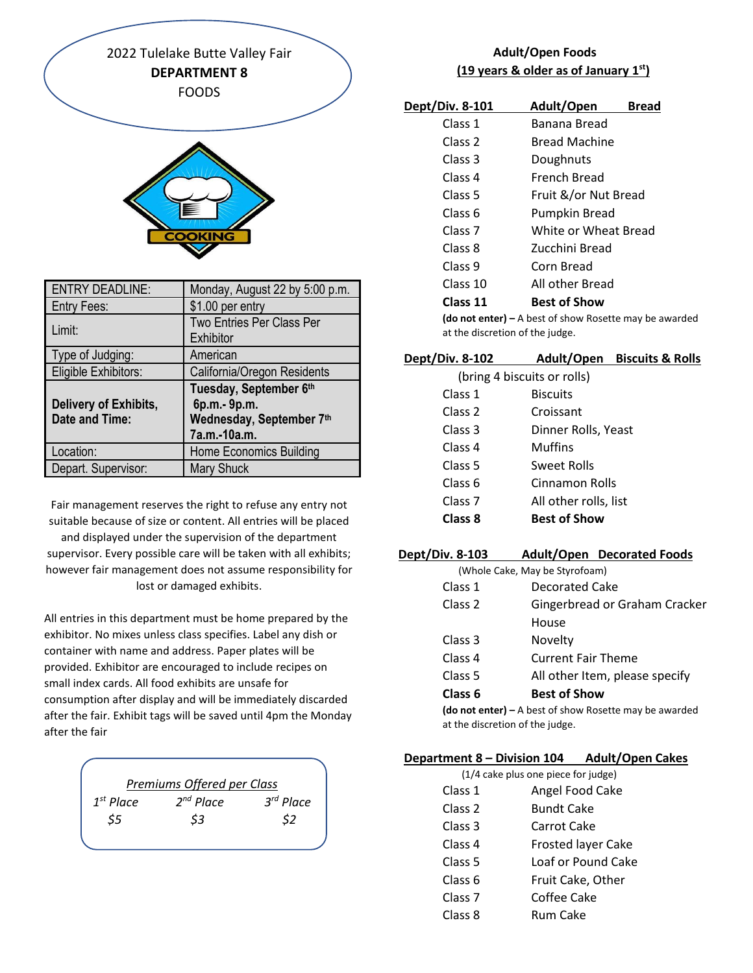2022 Tulelake Butte Valley Fair **DEPARTMENT 8** FOODS

| <b>ENTRY DEADLINE:</b>                  | Monday, August 22 by 5:00 p.m.                                                     |
|-----------------------------------------|------------------------------------------------------------------------------------|
| <b>Entry Fees:</b>                      | \$1.00 per entry                                                                   |
| Limit:                                  | <b>Two Entries Per Class Per</b><br>Exhibitor                                      |
| Type of Judging:                        | American                                                                           |
| <b>Eligible Exhibitors:</b>             | California/Oregon Residents                                                        |
| Delivery of Exhibits,<br>Date and Time: | Tuesday, September 6th<br>6p.m.- 9p.m.<br>Wednesday, September 7th<br>7a.m.-10a.m. |
| Location:                               | <b>Home Economics Building</b>                                                     |
| Depart. Supervisor:                     | <b>Mary Shuck</b>                                                                  |

**DOKING** 

Fair management reserves the right to refuse any entry not suitable because of size or content. All entries will be placed and displayed under the supervision of the department supervisor. Every possible care will be taken with all exhibits; however fair management does not assume responsibility for lost or damaged exhibits.

All entries in this department must be home prepared by the exhibitor. No mixes unless class specifies. Label any dish or container with name and address. Paper plates will be provided. Exhibitor are encouraged to include recipes on small index cards. All food exhibits are unsafe for consumption after display and will be immediately discarded after the fair. Exhibit tags will be saved until 4pm the Monday after the fair

|                       | Premiums Offered per Class |           |
|-----------------------|----------------------------|-----------|
| 1 <sup>st</sup> Place | $2^{nd}$ Place             | 3rd Place |
| \$5                   | \$3                        | \$2       |
|                       |                            |           |

# **Adult/Open Foods (19 years & older as of January 1st)**

| Dept/Div. 8-101                 | Adult/Open                                               | <b>Bread</b> |
|---------------------------------|----------------------------------------------------------|--------------|
| Class 1                         | Banana Bread                                             |              |
| Class <sub>2</sub>              | <b>Bread Machine</b>                                     |              |
| Class 3                         | Doughnuts                                                |              |
| Class 4                         | French Bread                                             |              |
| Class 5                         | Fruit &/or Nut Bread                                     |              |
| Class 6                         | Pumpkin Bread                                            |              |
| Class <sub>7</sub>              | White or Wheat Bread                                     |              |
| Class 8                         | Zucchini Bread                                           |              |
| Class 9                         | Corn Bread                                               |              |
| Class 10                        | All other Bread                                          |              |
| Class 11                        | <b>Best of Show</b>                                      |              |
|                                 | (do not enter) $-$ A best of show Rosette may be awarded |              |
| at the discretion of the judge. |                                                          |              |

**Dept/Div. 8-102 Adult/Open Biscuits & Rolls** (bring 4 biscuits or rolls) Class 1 Biscuits Class 2 Croissant Class 3 Dinner Rolls, Yeast Class 4 Muffins Class 5 Sweet Rolls Class 6 Cinnamon Rolls Class 7 All other rolls, list **Class 8 Best of Show** 

## **Dept/Div. 8-103 Adult/Open Decorated Foods**

(Whole Cake, May be Styrofoam)

Class 1 Decorated Cake Class 2 Gingerbread or Graham Cracker House Class 3 Novelty Class 4 Current Fair Theme Class 5 All other Item, please specify **Class 6 Best of Show (do not enter) –** A best of show Rosette may be awarded

at the discretion of the judge.

# **Department 8 – Division 104 Adult/Open Cakes**

(1/4 cake plus one piece for judge)

- Class 1 Angel Food Cake
- Class 2 Bundt Cake
- Class 3 Carrot Cake
- Class 4 Frosted layer Cake
- Class 5 Loaf or Pound Cake
- Class 6 Fruit Cake, Other
- Class 7 Coffee Cake
- Class 8 Rum Cake
-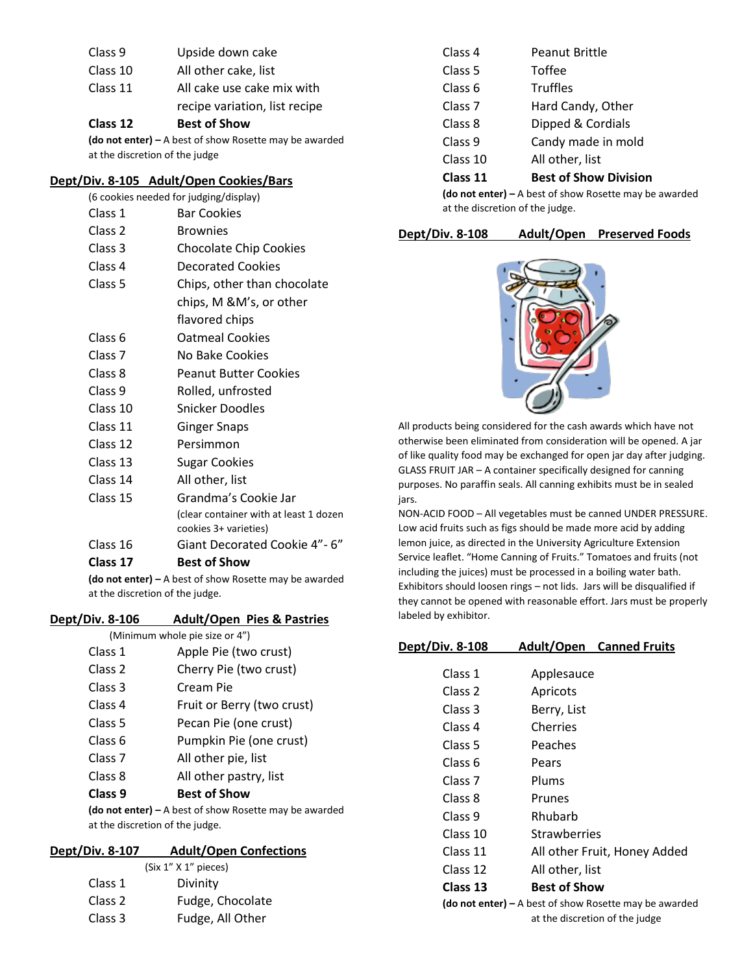| Clace 12 | <b>Rost of Show</b>           |
|----------|-------------------------------|
|          | recipe variation, list recipe |
| Class 11 | All cake use cake mix with    |
| Class 10 | All other cake, list          |
| Class 9  | Upside down cake              |

#### **Class 12 Best of Show**

**(do not enter) –** A best of show Rosette may be awarded at the discretion of the judge

#### **Dept/Div. 8-105 Adult/Open Cookies/Bars**

|                                                          | (6 cookies needed for judging/display) |  |
|----------------------------------------------------------|----------------------------------------|--|
| Class 1                                                  | <b>Bar Cookies</b>                     |  |
| Class <sub>2</sub>                                       | <b>Brownies</b>                        |  |
| Class 3                                                  | <b>Chocolate Chip Cookies</b>          |  |
| Class 4                                                  | <b>Decorated Cookies</b>               |  |
| Class 5                                                  | Chips, other than chocolate            |  |
|                                                          | chips, M &M's, or other                |  |
|                                                          | flavored chips                         |  |
| Class 6                                                  | <b>Oatmeal Cookies</b>                 |  |
| Class <sub>7</sub>                                       | No Bake Cookies                        |  |
| Class 8                                                  | Peanut Butter Cookies                  |  |
| Class 9                                                  | Rolled, unfrosted                      |  |
| Class 10                                                 | Snicker Doodles                        |  |
| Class 11                                                 | <b>Ginger Snaps</b>                    |  |
| Class 12                                                 | Persimmon                              |  |
| Class 13                                                 | <b>Sugar Cookies</b>                   |  |
| Class 14                                                 | All other, list                        |  |
| Class 15                                                 | Grandma's Cookie Jar                   |  |
|                                                          | (clear container with at least 1 dozen |  |
|                                                          | cookies 3+ varieties)                  |  |
| Class 16                                                 | Giant Decorated Cookie 4"- 6"          |  |
| Class 17                                                 | <b>Best of Show</b>                    |  |
| (do not enter) $-$ A best of show Rosette may be awarded |                                        |  |

at the discretion of the judge.

#### **Dept/Div. 8-106 Adult/Open Pies & Pastries**

|                    | (Minimum whole pie size or 4")                           |
|--------------------|----------------------------------------------------------|
| Class 1            | Apple Pie (two crust)                                    |
| Class 2            | Cherry Pie (two crust)                                   |
| Class 3            | Cream Pie                                                |
| Class 4            | Fruit or Berry (two crust)                               |
| Class 5            | Pecan Pie (one crust)                                    |
| Class 6            | Pumpkin Pie (one crust)                                  |
| Class <sub>7</sub> | All other pie, list                                      |
| Class 8            | All other pastry, list                                   |
| Class 9            | <b>Best of Show</b>                                      |
|                    | (do not enter) $-$ A best of show Rosette may be awarded |
|                    |                                                          |

at the discretion of the judge.

# **Dept/Div. 8-107 Adult/Open Confections**

|         | (Six 1" X 1" pieces) |  |  |
|---------|----------------------|--|--|
| Class 1 | Divinity             |  |  |
| Class 2 | Fudge, Chocolate     |  |  |
| Class 3 | Fudge, All Other     |  |  |

| Class 4            | Peanut Brittle               |
|--------------------|------------------------------|
| Class 5            | <b>Toffee</b>                |
| Class 6            | <b>Truffles</b>              |
| Class <sub>7</sub> | Hard Candy, Other            |
| Class 8            | Dipped & Cordials            |
| Class 9            | Candy made in mold           |
| Class 10           | All other, list              |
| Class 11           | <b>Best of Show Division</b> |

**(do not enter) –** A best of show Rosette may be awarded at the discretion of the judge.

|  | <b>Dept/Div. 8-108</b> |  | Adult/Open Preserved Foods |
|--|------------------------|--|----------------------------|
|--|------------------------|--|----------------------------|



All products being considered for the cash awards which have not otherwise been eliminated from consideration will be opened. A jar of like quality food may be exchanged for open jar day after judging. GLASS FRUIT JAR – A container specifically designed for canning purposes. No paraffin seals. All canning exhibits must be in sealed jars.

NON-ACID FOOD – All vegetables must be canned UNDER PRESSURE. Low acid fruits such as figs should be made more acid by adding lemon juice, as directed in the University Agriculture Extension Service leaflet. "Home Canning of Fruits." Tomatoes and fruits (not including the juices) must be processed in a boiling water bath. Exhibitors should loosen rings – not lids. Jars will be disqualified if they cannot be opened with reasonable effort. Jars must be properly labeled by exhibitor.

# **Dept/Div. 8-108 Adult/Open Canned Fruits** Class 1 Applesauce Class 2 Apricots Class 3 Berry, List Class 4 Cherries Class 5 Peaches Class 6 Pears

| Class <sub>7</sub> | Plums                                                    |
|--------------------|----------------------------------------------------------|
| Class 8            | Prunes                                                   |
| Class 9            | Rhubarb                                                  |
| Class 10           | <b>Strawberries</b>                                      |
| Class 11           | All other Fruit, Honey Added                             |
| Class 12           | All other, list                                          |
| Class 13           | <b>Best of Show</b>                                      |
|                    | (do not enter) $-$ A best of show Rosette may be awarded |

at the discretion of the judge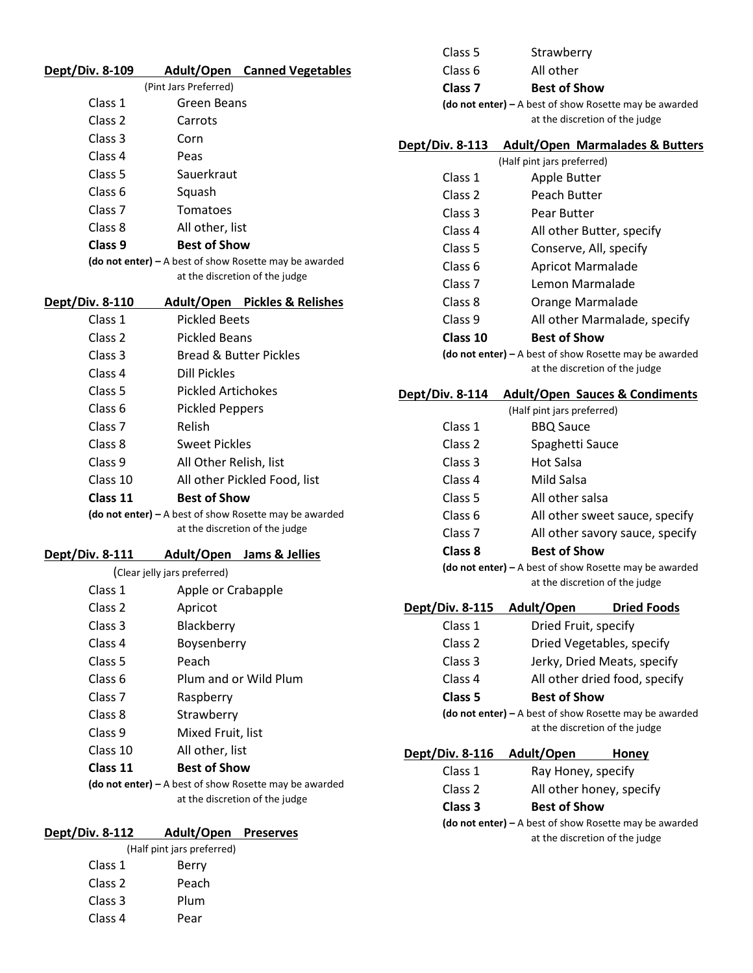|                    |                                                        | Class 5            | Strawberry                                             |
|--------------------|--------------------------------------------------------|--------------------|--------------------------------------------------------|
| Dept/Div. 8-109    | <b>Adult/Open Canned Vegetables</b>                    | Class 6            | All other                                              |
|                    | (Pint Jars Preferred)                                  | Class <sub>7</sub> | <b>Best of Show</b>                                    |
| Class 1            | Green Beans                                            |                    | (do not enter) - A best of show Rosette may be awarded |
| Class <sub>2</sub> | Carrots                                                |                    | at the discretion of the judge                         |
| Class 3            | Corn                                                   | Dept/Div. 8-113    | <b>Adult/Open Marmalades &amp; Butters</b>             |
| Class 4            | Peas                                                   |                    | (Half pint jars preferred)                             |
| Class <sub>5</sub> | Sauerkraut                                             | Class 1            | Apple Butter                                           |
| Class <sub>6</sub> | Squash                                                 | Class <sub>2</sub> | Peach Butter                                           |
| Class <sub>7</sub> | Tomatoes                                               | Class 3            | Pear Butter                                            |
| Class 8            | All other, list                                        | Class 4            | All other Butter, specify                              |
| Class 9            | <b>Best of Show</b>                                    | Class 5            | Conserve, All, specify                                 |
|                    | (do not enter) - A best of show Rosette may be awarded | Class 6            | <b>Apricot Marmalade</b>                               |
|                    | at the discretion of the judge                         | Class <sub>7</sub> | Lemon Marmalade                                        |
| Dept/Div. 8-110    | <b>Adult/Open</b> Pickles & Relishes                   | Class 8            | Orange Marmalade                                       |
| Class 1            | <b>Pickled Beets</b>                                   | Class 9            | All other Marmalade, specify                           |
| Class 2            | <b>Pickled Beans</b>                                   | Class 10           | <b>Best of Show</b>                                    |
| Class 3            | <b>Bread &amp; Butter Pickles</b>                      |                    | (do not enter) - A best of show Rosette may be awarded |
| Class 4            | Dill Pickles                                           |                    | at the discretion of the judge                         |
| Class 5            | <b>Pickled Artichokes</b>                              | Dept/Div. 8-114    | <b>Adult/Open Sauces &amp; Condiments</b>              |
| Class <sub>6</sub> | <b>Pickled Peppers</b>                                 |                    | (Half pint jars preferred)                             |
| Class <sub>7</sub> | Relish                                                 | Class 1            | <b>BBQ Sauce</b>                                       |
| Class 8            | <b>Sweet Pickles</b>                                   | Class 2            | Spaghetti Sauce                                        |
| Class 9            | All Other Relish, list                                 | Class 3            | <b>Hot Salsa</b>                                       |
| Class 10           | All other Pickled Food, list                           | Class 4            | Mild Salsa                                             |
| Class 11           | <b>Best of Show</b>                                    | Class 5            | All other salsa                                        |
|                    | (do not enter) - A best of show Rosette may be awarded | Class 6            | All other sweet sauce, specify                         |
|                    | at the discretion of the judge                         | Class <sub>7</sub> | All other savory sauce, specify                        |
| Dept/Div. 8-111    | Adult/Open Jams & Jellies                              | Class 8            | <b>Best of Show</b>                                    |
|                    | (Clear jelly jars preferred)                           |                    | (do not enter) - A best of show Rosette may be awarded |
| Class 1            | Apple or Crabapple                                     |                    | at the discretion of the judge                         |
| Class <sub>2</sub> | Apricot                                                | Dept/Div. 8-115    | Adult/Open<br><b>Dried Foods</b>                       |
| Class 3            | Blackberry                                             | Class 1            | Dried Fruit, specify                                   |
| Class 4            | Boysenberry                                            | Class 2            | Dried Vegetables, specify                              |
| Class <sub>5</sub> | Peach                                                  | Class 3            | Jerky, Dried Meats, specify                            |
| Class 6            | Plum and or Wild Plum                                  | Class 4            | All other dried food, specify                          |
| Class <sub>7</sub> | Raspberry                                              | Class <sub>5</sub> | <b>Best of Show</b>                                    |
| Class 8            | Strawberry                                             |                    | (do not enter) - A best of show Rosette may be awarded |
| Class 9            | Mixed Fruit, list                                      |                    | at the discretion of the judge                         |
| Class 10           | All other, list                                        | Dept/Div. 8-116    | Adult/Open<br>Honey                                    |
| Class 11           | <b>Best of Show</b>                                    | Class 1            | Ray Honey, specify                                     |
|                    | (do not enter) - A best of show Rosette may be awarded | Class 2            | All other honey, specify                               |
|                    | at the discretion of the judge                         | Class 3            | <b>Best of Show</b>                                    |
|                    |                                                        |                    | (do not enter) - A best of show Rosette may be awarded |
| Dept/Div. 8-112    | Adult/Open<br><b>Preserves</b>                         |                    | at the discretion of the judge                         |
|                    | (Half pint jars preferred)                             |                    |                                                        |
| Class 1            | Berry                                                  |                    |                                                        |
| Class 2            | Peach                                                  |                    |                                                        |

Class 3 Plum Class 4 Pear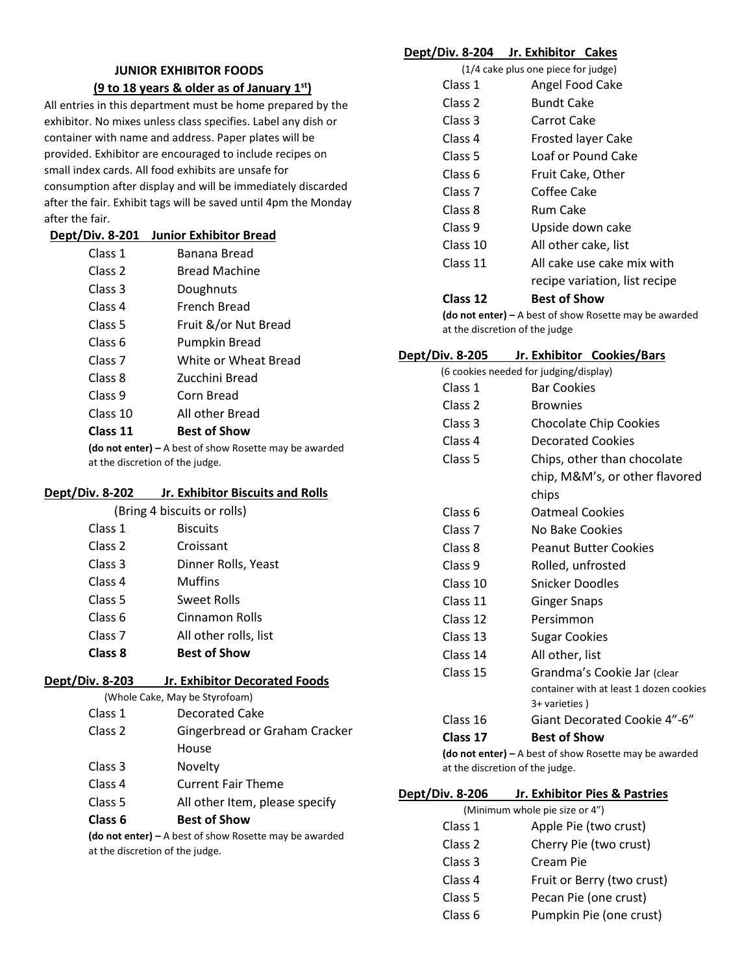# **JUNIOR EXHIBITOR FOODS**

## **(9 to 18 years & older as of January 1st)**

All entries in this department must be home prepared by the exhibitor. No mixes unless class specifies. Label any dish or container with name and address. Paper plates will be provided. Exhibitor are encouraged to include recipes on small index cards. All food exhibits are unsafe for consumption after display and will be immediately discarded after the fair. Exhibit tags will be saved until 4pm the Monday after the fair.

#### **Dept/Div. 8-201 Junior Exhibitor Bread**

| Class 1            | Banana Bread         |
|--------------------|----------------------|
| Class <sub>2</sub> | <b>Bread Machine</b> |
| Class 3            | Doughnuts            |
| Class 4            | French Bread         |
| Class 5            | Fruit &/or Nut Bread |
| Class 6            | Pumpkin Bread        |
| Class 7            | White or Wheat Bread |
| Class 8            | Zucchini Bread       |
| Class 9            | Corn Bread           |
| Class 10           | All other Bread      |
| Class 11           | <b>Best of Show</b>  |

**(do not enter) –** A best of show Rosette may be awarded at the discretion of the judge.

## **Dept/Div. 8-202 Jr. Exhibitor Biscuits and Rolls**

| (Bring 4 biscuits or rolls) |                       |  |
|-----------------------------|-----------------------|--|
| Class 1                     | <b>Biscuits</b>       |  |
| Class 2                     | Croissant             |  |
| Class 3                     | Dinner Rolls, Yeast   |  |
| Class 4                     | <b>Muffins</b>        |  |
| Class 5                     | Sweet Rolls           |  |
| Class 6                     | Cinnamon Rolls        |  |
| Class <sub>7</sub>          | All other rolls, list |  |
| Class 8                     | <b>Best of Show</b>   |  |

## **Dept/Div. 8-203 Jr. Exhibitor Decorated Foods**

(Whole Cake, May be Styrofoam)

| Class 6 | <b>Best of Show</b>            |
|---------|--------------------------------|
| Class 5 | All other Item, please specify |
| Class 4 | <b>Current Fair Theme</b>      |
| Class 3 | Novelty                        |
|         | House                          |
| Class 2 | Gingerbread or Graham Cracker  |
| Class 1 | Decorated Cake                 |
|         |                                |

**(do not enter) –** A best of show Rosette may be awarded

at the discretion of the judge.

# **Dept/Div. 8-204 Jr. Exhibitor Cakes**

|                    | (1/4 cake plus one piece for judge)                    |
|--------------------|--------------------------------------------------------|
| Class 1            | Angel Food Cake                                        |
| Class 2            | <b>Bundt Cake</b>                                      |
| Class 3            | Carrot Cake                                            |
| Class 4            | <b>Frosted layer Cake</b>                              |
| Class 5            | Loaf or Pound Cake                                     |
| Class 6            | Fruit Cake, Other                                      |
| Class <sub>7</sub> | Coffee Cake                                            |
| Class 8            | Rum Cake                                               |
| Class 9            | Upside down cake                                       |
| Class 10           | All other cake, list                                   |
| Class 11           | All cake use cake mix with                             |
|                    | recipe variation, list recipe                          |
| Class 12           | <b>Best of Show</b>                                    |
|                    | lde ust suted  A least of sleep  Desatte men  lee some |

**(do not enter) –** A best of show Rosette may be awarded at the discretion of the judge

#### **Dept/Div. 8-205 Jr. Exhibitor Cookies/Bars**

|                                 | (6 cookies needed for judging/display)                   |
|---------------------------------|----------------------------------------------------------|
| Class 1                         | <b>Bar Cookies</b>                                       |
| Class <sub>2</sub>              | <b>Brownies</b>                                          |
| Class <sub>3</sub>              | <b>Chocolate Chip Cookies</b>                            |
| Class <sub>4</sub>              | <b>Decorated Cookies</b>                                 |
| Class <sub>5</sub>              | Chips, other than chocolate                              |
|                                 | chip, M&M's, or other flavored                           |
|                                 | chips                                                    |
| Class 6                         | <b>Oatmeal Cookies</b>                                   |
| Class <sub>7</sub>              | No Bake Cookies                                          |
| Class 8                         | <b>Peanut Butter Cookies</b>                             |
| Class 9                         | Rolled, unfrosted                                        |
| Class 10                        | Snicker Doodles                                          |
| Class 11                        | Ginger Snaps                                             |
| Class 12                        | Persimmon                                                |
| Class 13                        | <b>Sugar Cookies</b>                                     |
| Class 14                        | All other, list                                          |
| Class 15                        | Grandma's Cookie Jar (clear                              |
|                                 | container with at least 1 dozen cookies                  |
|                                 | 3+ varieties)                                            |
| Class 16                        | Giant Decorated Cookie 4"-6"                             |
| Class 17                        | <b>Best of Show</b>                                      |
| at the discretion of the judge. | (do not enter) $-$ A best of show Rosette may be awarded |
|                                 |                                                          |
|                                 |                                                          |

#### **Dept/Div. 8-206 Jr. Exhibitor Pies & Pastries**

- Class 1 Apple Pie (two crust) Class 2 Cherry Pie (two crust)
- Class 3 Cream Pie
- Class 4 Fruit or Berry (two crust)
- Class 5 Pecan Pie (one crust)
- Class 6 Pumpkin Pie (one crust)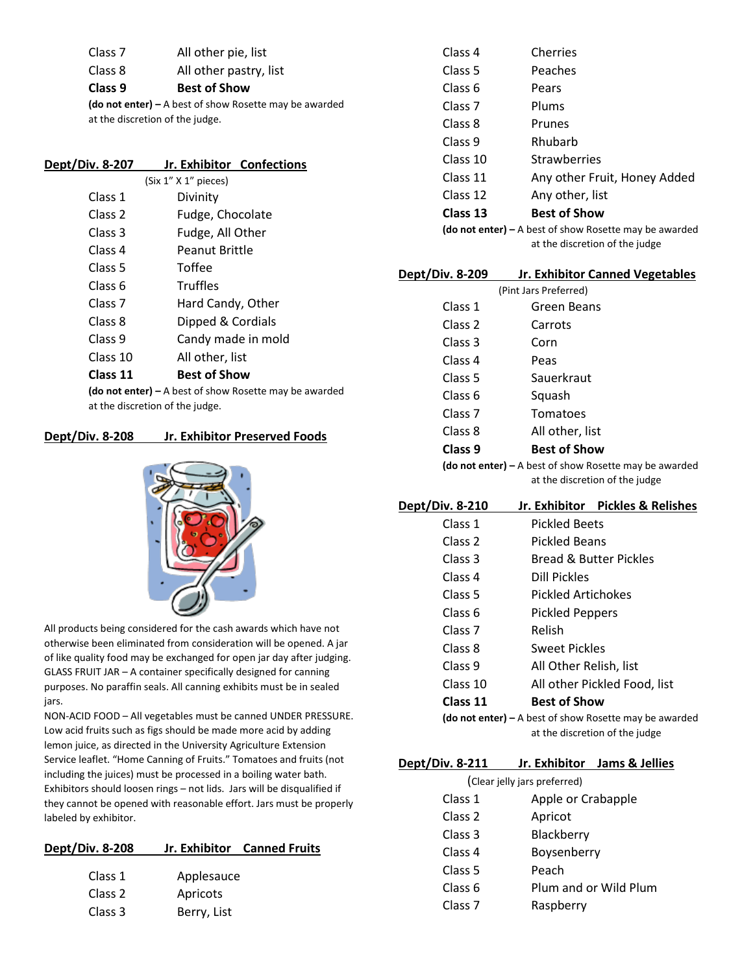| Class <sub>7</sub>                                       | All other pie, list    |  |
|----------------------------------------------------------|------------------------|--|
| Class 8                                                  | All other pastry, list |  |
| Class 9                                                  | <b>Best of Show</b>    |  |
| (do not enter) $-$ A best of show Rosette may be awarded |                        |  |
| at the discretion of the judge.                          |                        |  |

| Dept/Div. 8-207 | Jr. Exhibitor Confections |  |
|-----------------|---------------------------|--|
|                 | (Six 1" X 1" pieces)      |  |
| Class 1         | Divinity                  |  |

| Class 2  | Fudge, Chocolate    |
|----------|---------------------|
| Class 3  | Fudge, All Other    |
| Class 4  | Peanut Brittle      |
| Class 5  | Toffee              |
| Class 6  | <b>Truffles</b>     |
| Class 7  | Hard Candy, Other   |
| Class 8  | Dipped & Cordials   |
| Class 9  | Candy made in mold  |
| Class 10 | All other, list     |
| Class 11 | <b>Best of Show</b> |

**(do not enter) –** A best of show Rosette may be awarded at the discretion of the judge.

## **Dept/Div. 8-208 Jr. Exhibitor Preserved Foods**



All products being considered for the cash awards which have not otherwise been eliminated from consideration will be opened. A jar of like quality food may be exchanged for open jar day after judging. GLASS FRUIT JAR – A container specifically designed for canning purposes. No paraffin seals. All canning exhibits must be in sealed jars.

NON-ACID FOOD – All vegetables must be canned UNDER PRESSURE. Low acid fruits such as figs should be made more acid by adding lemon juice, as directed in the University Agriculture Extension Service leaflet. "Home Canning of Fruits." Tomatoes and fruits (not including the juices) must be processed in a boiling water bath. Exhibitors should loosen rings – not lids. Jars will be disqualified if they cannot be opened with reasonable effort. Jars must be properly labeled by exhibitor.

| <b>Dept/Div. 8-208</b> |            | Jr. Exhibitor Canned Fruits |
|------------------------|------------|-----------------------------|
| Class 1                | Applesauce |                             |
| Class 2                | Apricots   |                             |

Class 3 Berry, List

| Class <sub>4</sub> | Cherries                     |
|--------------------|------------------------------|
| Class 5            | Peaches                      |
| Class 6            | Pears                        |
| Class <sub>7</sub> | Plums                        |
| Class 8            | Prunes                       |
| Class <sub>9</sub> | Rhubarb                      |
| Class 10           | <b>Strawberries</b>          |
| Class 11           | Any other Fruit, Honey Added |
| Class 12           | Any other, list              |
| Class 13           | <b>Best of Show</b>          |

**(do not enter) –** A best of show Rosette may be awarded at the discretion of the judge

#### **Dept/Div. 8-209 Jr. Exhibitor Canned Vegetables**

| (Pint Jars Preferred)                                    |
|----------------------------------------------------------|
| Green Beans                                              |
| Carrots                                                  |
| Corn                                                     |
| Peas                                                     |
| Sauerkraut                                               |
| Squash                                                   |
| Tomatoes                                                 |
| All other, list                                          |
| <b>Best of Show</b>                                      |
| (do not enter) $-$ A best of show Rosette may be awarded |
|                                                          |

at the discretion of the judge

#### **Dept/Div. 8-210 Jr. Exhibitor Pickles & Relishes**

| Class 1            | Pickled Beets                                            |
|--------------------|----------------------------------------------------------|
| Class 2            | Pickled Beans                                            |
| Class 3            | <b>Bread &amp; Butter Pickles</b>                        |
| Class 4            | Dill Pickles                                             |
| Class 5            | Pickled Artichokes                                       |
| Class 6            | <b>Pickled Peppers</b>                                   |
| Class <sub>7</sub> | Relish                                                   |
| Class 8            | Sweet Pickles                                            |
| Class 9            | All Other Relish, list                                   |
| Class 10           | All other Pickled Food, list                             |
| Class 11           | <b>Best of Show</b>                                      |
|                    | (do not enter) $-$ A best of show Rosette may be awarded |
|                    | a total and the computations of the context and          |

at the discretion of the judge

## **Dept/Div. 8-211 Jr. Exhibitor Jams & Jellies**

|                    | (Clear jelly jars preferred) |
|--------------------|------------------------------|
| Class 1            | Apple or Crabapple           |
| Class <sub>2</sub> | Apricot                      |
| Class 3            | Blackberry                   |
| Class 4            | Boysenberry                  |
| Class <sub>5</sub> | Peach                        |
| Class 6            | Plum and or Wild Plum        |
| Class 7            | Raspberry                    |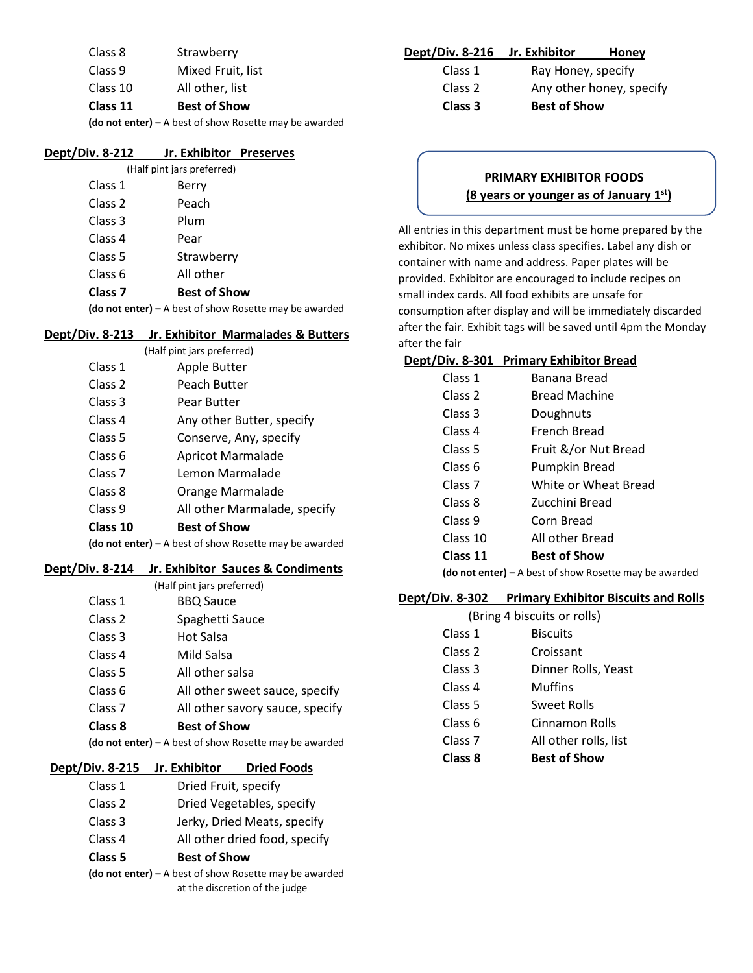Class 8 Strawberry Class 9 Mixed Fruit, list Class 10 All other, list **Class 11 Best of Show**

**(do not enter) –** A best of show Rosette may be awarded

#### **Dept/Div. 8-212 Jr. Exhibitor Preserves**

|                | (Half pint jars preferred)                               |
|----------------|----------------------------------------------------------|
| Class 1        | Berry                                                    |
| Class 2        | Peach                                                    |
| Class 3        | Plum                                                     |
| Class 4        | Pear                                                     |
| Class 5        | Strawberry                                               |
| Class 6        | All other                                                |
| <b>Class 7</b> | <b>Best of Show</b>                                      |
|                | (do not enter) $-$ A best of show Rosette may be awarded |

#### **Dept/Div. 8-213 Jr. Exhibitor Marmalades & Butters**

|                    | (Half pint jars preferred)   |
|--------------------|------------------------------|
| Class 1            | Apple Butter                 |
| Class 2            | Peach Butter                 |
| Class 3            | Pear Butter                  |
| Class <sub>4</sub> | Any other Butter, specify    |
| Class 5            | Conserve, Any, specify       |
| Class 6            | <b>Apricot Marmalade</b>     |
| Class <sub>7</sub> | Lemon Marmalade              |
| Class 8            | Orange Marmalade             |
| Class <sub>9</sub> | All other Marmalade, specify |
| Class 10           | <b>Best of Show</b>          |

**(do not enter) –** A best of show Rosette may be awarded

#### **Dept/Div. 8-214 Jr. Exhibitor Sauces & Condiments**

|                    | (Half pint jars preferred)                               |
|--------------------|----------------------------------------------------------|
| Class 1            | <b>BBQ Sauce</b>                                         |
| Class 2            | Spaghetti Sauce                                          |
| Class 3            | Hot Salsa                                                |
| Class 4            | Mild Salsa                                               |
| Class 5            | All other salsa                                          |
| Class 6            | All other sweet sauce, specify                           |
| Class <sub>7</sub> | All other savory sauce, specify                          |
| Class 8            | <b>Best of Show</b>                                      |
|                    | (do not enter) $-$ A best of show Rosette may be awarded |

# **Dept/Div. 8-215 Jr. Exhibitor Dried Foods**

| Class 5            | <b>Best of Show</b>           |
|--------------------|-------------------------------|
| Class 4            | All other dried food, specify |
| Class <sub>3</sub> | Jerky, Dried Meats, specify   |
| Class 2            | Dried Vegetables, specify     |
| Class 1            | Dried Fruit, specify          |

**(do not enter) –** A best of show Rosette may be awarded at the discretion of the judge

| <b>Dept/Div. 8-216</b> | Jr. Exhibitor       | Honey                    |
|------------------------|---------------------|--------------------------|
| Class 1                | Ray Honey, specify  |                          |
| Class 2                |                     | Any other honey, specify |
| Class 3                | <b>Best of Show</b> |                          |

# **PRIMARY EXHIBITOR FOODS (8 years or younger as of January 1st)**

All entries in this department must be home prepared by the exhibitor. No mixes unless class specifies. Label any dish or container with name and address. Paper plates will be provided. Exhibitor are encouraged to include recipes on small index cards. All food exhibits are unsafe for consumption after display and will be immediately discarded after the fair. Exhibit tags will be saved until 4pm the Monday after the fair

#### **Dept/Div. 8-301 Primary Exhibitor Bread**

| Class 1                                                  | Banana Bread         |
|----------------------------------------------------------|----------------------|
| Class <sub>2</sub>                                       | Bread Machine        |
| Class 3                                                  | Doughnuts            |
| Class <sub>4</sub>                                       | French Bread         |
| Class 5                                                  | Fruit &/or Nut Bread |
| Class 6                                                  | Pumpkin Bread        |
| Class <sub>7</sub>                                       | White or Wheat Bread |
| Class 8                                                  | Zucchini Bread       |
| Class <sub>9</sub>                                       | Corn Bread           |
| Class 10                                                 | All other Bread      |
| Class 11                                                 | <b>Best of Show</b>  |
| (do not enter) $-$ A best of show Rosette may be awarded |                      |

#### **Dept/Div. 8-302 Primary Exhibitor Biscuits and Rolls**

| Class 8                     | Best of Show          |
|-----------------------------|-----------------------|
| Class <sub>7</sub>          | All other rolls, list |
| Class 6                     | Cinnamon Rolls        |
| Class 5                     | Sweet Rolls           |
| Class 4                     | Muffins               |
| Class 3                     | Dinner Rolls, Yeast   |
| Class 2                     | Croissant             |
| Class 1                     | <b>Biscuits</b>       |
| (Bring 4 biscuits or rolls) |                       |
|                             |                       |